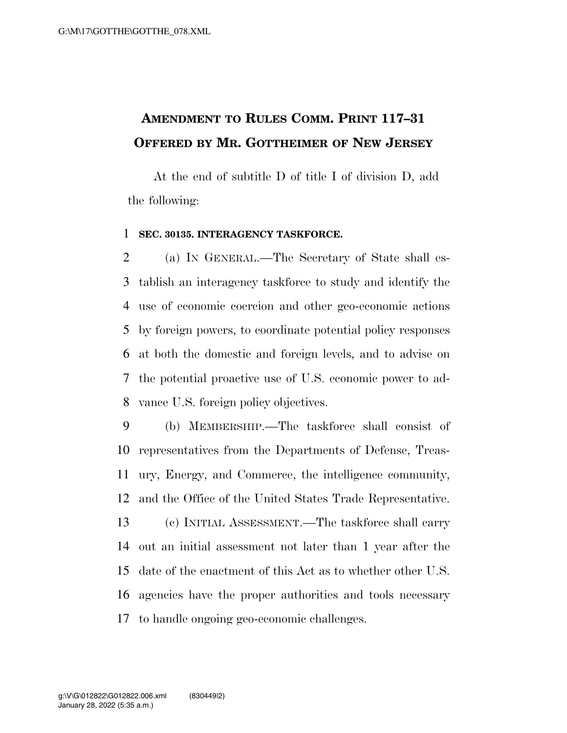## **AMENDMENT TO RULES COMM. PRINT 117–31 OFFERED BY MR. GOTTHEIMER OF NEW JERSEY**

At the end of subtitle D of title I of division D, add the following:

## **SEC. 30135. INTERAGENCY TASKFORCE.**

 (a) IN GENERAL.—The Secretary of State shall es- tablish an interagency taskforce to study and identify the use of economic coercion and other geo-economic actions by foreign powers, to coordinate potential policy responses at both the domestic and foreign levels, and to advise on the potential proactive use of U.S. economic power to ad-vance U.S. foreign policy objectives.

 (b) MEMBERSHIP.—The taskforce shall consist of representatives from the Departments of Defense, Treas- ury, Energy, and Commerce, the intelligence community, and the Office of the United States Trade Representative. (c) INITIAL ASSESSMENT.—The taskforce shall carry out an initial assessment not later than 1 year after the date of the enactment of this Act as to whether other U.S. agencies have the proper authorities and tools necessary to handle ongoing geo-economic challenges.